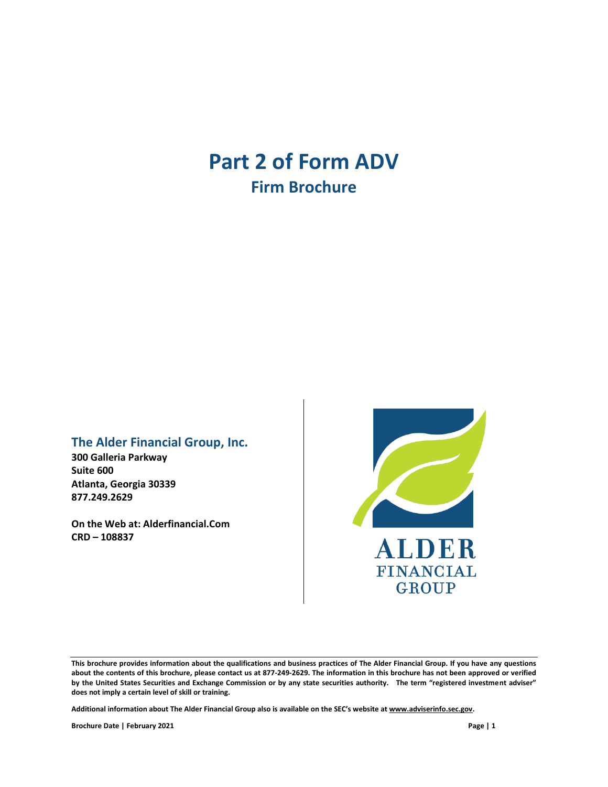# **Part 2 of Form ADV Firm Brochure**

## **The Alder Financial Group, Inc.**

**300 Galleria Parkway Suite 600 Atlanta, Georgia 30339 877.249.2629**

**On the Web at: Alderfinancial.Com CRD – 108837**



**This brochure provides information about the qualifications and business practices of The Alder Financial Group. If you have any questions about the contents of this brochure, please contact us at 877-249-2629. The information in this brochure has not been approved or verified by the United States Securities and Exchange Commission or by any state securities authority. The term "registered investment adviser" does not imply a certain level of skill or training.**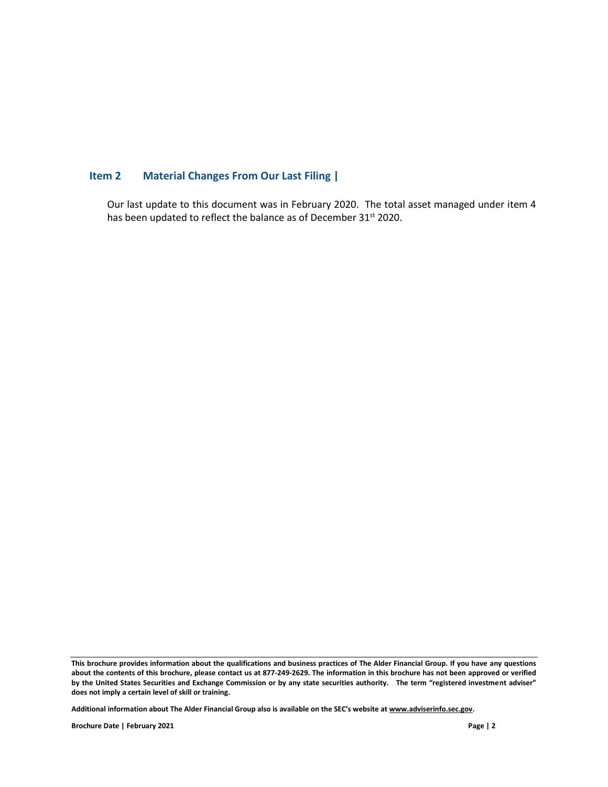## **Item 2 Material Changes From Our Last Filing |**

Our last update to this document was in February 2020. The total asset managed under item 4 has been updated to reflect the balance as of December 31<sup>st</sup> 2020.

**This brochure provides information about the qualifications and business practices of The Alder Financial Group. If you have any questions about the contents of this brochure, please contact us at 877-249-2629. The information in this brochure has not been approved or verified by the United States Securities and Exchange Commission or by any state securities authority. The term "registered investment adviser" does not imply a certain level of skill or training.**

**Additional information about The Alder Financial Group also is available on the SEC's website at www.adviserinfo.sec.gov.**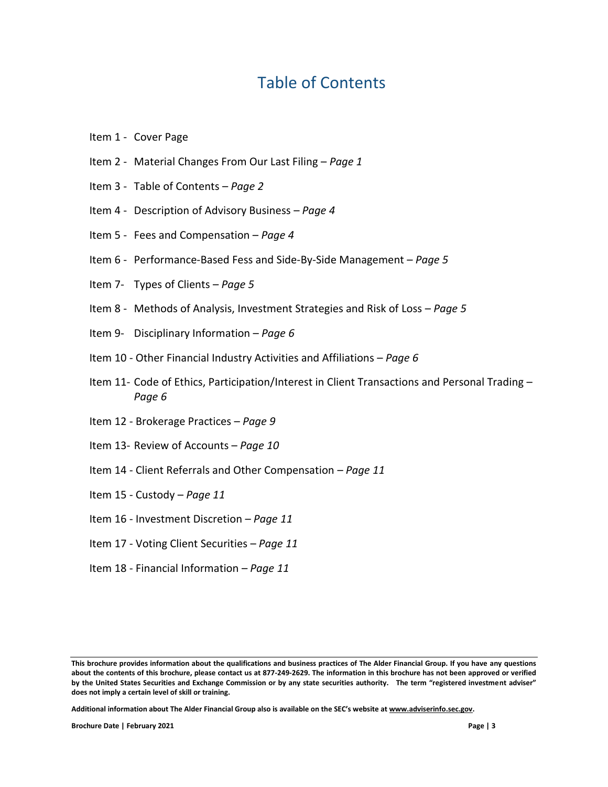## Table of Contents

- Item 1 Cover Page
- Item 2 Material Changes From Our Last Filing *Page 1*
- Item 3 Table of Contents *Page 2*
- Item 4 Description of Advisory Business *Page 4*
- Item 5 Fees and Compensation *Page 4*
- Item 6 Performance-Based Fess and Side-By-Side Management *Page 5*
- Item 7- Types of Clients *Page 5*
- Item 8 Methods of Analysis, Investment Strategies and Risk of Loss *Page 5*
- Item 9- Disciplinary Information *Page 6*
- Item 10 Other Financial Industry Activities and Affiliations *Page 6*
- Item 11- Code of Ethics, Participation/Interest in Client Transactions and Personal Trading *Page 6*
- Item 12 Brokerage Practices *Page 9*
- Item 13- Review of Accounts *Page 10*
- Item 14 Client Referrals and Other Compensation *Page 11*
- Item 15 Custody *Page 11*
- Item 16 Investment Discretion *Page 11*
- Item 17 Voting Client Securities *Page 11*
- Item 18 Financial Information *Page 11*

**This brochure provides information about the qualifications and business practices of The Alder Financial Group. If you have any questions about the contents of this brochure, please contact us at 877-249-2629. The information in this brochure has not been approved or verified by the United States Securities and Exchange Commission or by any state securities authority. The term "registered investment adviser" does not imply a certain level of skill or training.**

**Additional information about The Alder Financial Group also is available on the SEC's website at www.adviserinfo.sec.gov.**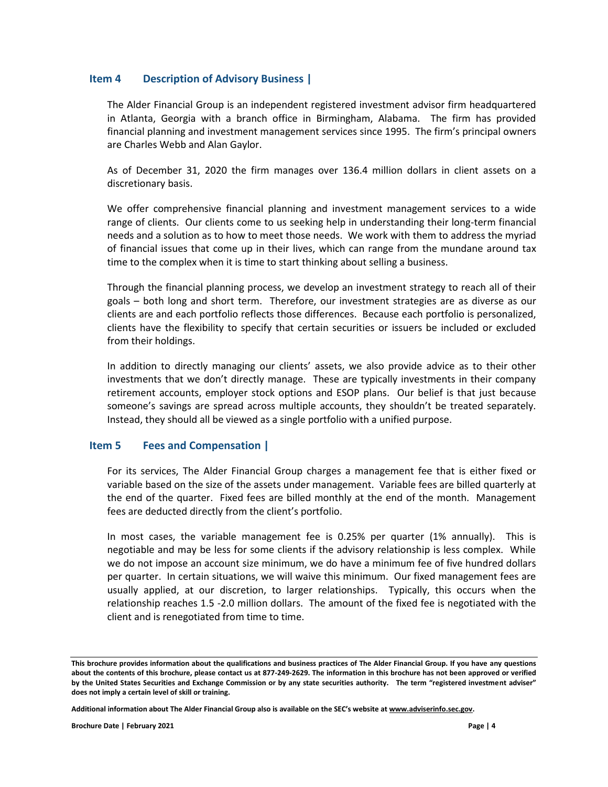## **Item 4 Description of Advisory Business |**

The Alder Financial Group is an independent registered investment advisor firm headquartered in Atlanta, Georgia with a branch office in Birmingham, Alabama. The firm has provided financial planning and investment management services since 1995. The firm's principal owners are Charles Webb and Alan Gaylor.

As of December 31, 2020 the firm manages over 136.4 million dollars in client assets on a discretionary basis.

We offer comprehensive financial planning and investment management services to a wide range of clients. Our clients come to us seeking help in understanding their long-term financial needs and a solution as to how to meet those needs. We work with them to address the myriad of financial issues that come up in their lives, which can range from the mundane around tax time to the complex when it is time to start thinking about selling a business.

Through the financial planning process, we develop an investment strategy to reach all of their goals – both long and short term. Therefore, our investment strategies are as diverse as our clients are and each portfolio reflects those differences. Because each portfolio is personalized, clients have the flexibility to specify that certain securities or issuers be included or excluded from their holdings.

In addition to directly managing our clients' assets, we also provide advice as to their other investments that we don't directly manage. These are typically investments in their company retirement accounts, employer stock options and ESOP plans. Our belief is that just because someone's savings are spread across multiple accounts, they shouldn't be treated separately. Instead, they should all be viewed as a single portfolio with a unified purpose.

## **Item 5 Fees and Compensation |**

For its services, The Alder Financial Group charges a management fee that is either fixed or variable based on the size of the assets under management. Variable fees are billed quarterly at the end of the quarter. Fixed fees are billed monthly at the end of the month. Management fees are deducted directly from the client's portfolio.

In most cases, the variable management fee is 0.25% per quarter (1% annually). This is negotiable and may be less for some clients if the advisory relationship is less complex. While we do not impose an account size minimum, we do have a minimum fee of five hundred dollars per quarter. In certain situations, we will waive this minimum. Our fixed management fees are usually applied, at our discretion, to larger relationships. Typically, this occurs when the relationship reaches 1.5 -2.0 million dollars. The amount of the fixed fee is negotiated with the client and is renegotiated from time to time.

**This brochure provides information about the qualifications and business practices of The Alder Financial Group. If you have any questions about the contents of this brochure, please contact us at 877-249-2629. The information in this brochure has not been approved or verified by the United States Securities and Exchange Commission or by any state securities authority. The term "registered investment adviser" does not imply a certain level of skill or training.**

**Additional information about The Alder Financial Group also is available on the SEC's website at www.adviserinfo.sec.gov.**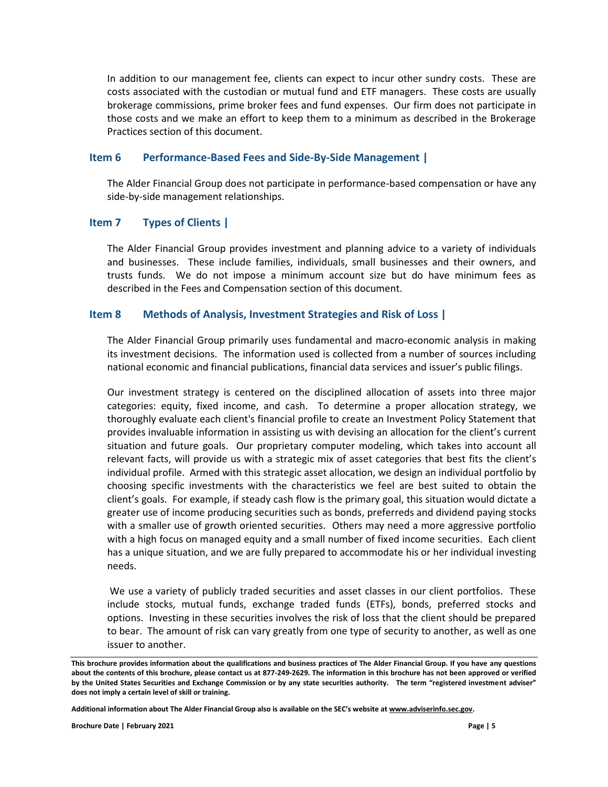In addition to our management fee, clients can expect to incur other sundry costs. These are costs associated with the custodian or mutual fund and ETF managers. These costs are usually brokerage commissions, prime broker fees and fund expenses. Our firm does not participate in those costs and we make an effort to keep them to a minimum as described in the Brokerage Practices section of this document.

## **Item 6 Performance-Based Fees and Side-By-Side Management |**

The Alder Financial Group does not participate in performance-based compensation or have any side-by-side management relationships.

## **Item 7 Types of Clients |**

The Alder Financial Group provides investment and planning advice to a variety of individuals and businesses. These include families, individuals, small businesses and their owners, and trusts funds. We do not impose a minimum account size but do have minimum fees as described in the Fees and Compensation section of this document.

## **Item 8 Methods of Analysis, Investment Strategies and Risk of Loss |**

The Alder Financial Group primarily uses fundamental and macro-economic analysis in making its investment decisions. The information used is collected from a number of sources including national economic and financial publications, financial data services and issuer's public filings.

Our investment strategy is centered on the disciplined allocation of assets into three major categories: equity, fixed income, and cash. To determine a proper allocation strategy, we thoroughly evaluate each client's financial profile to create an Investment Policy Statement that provides invaluable information in assisting us with devising an allocation for the client's current situation and future goals. Our proprietary computer modeling, which takes into account all relevant facts, will provide us with a strategic mix of asset categories that best fits the client's individual profile. Armed with this strategic asset allocation, we design an individual portfolio by choosing specific investments with the characteristics we feel are best suited to obtain the client's goals. For example, if steady cash flow is the primary goal, this situation would dictate a greater use of income producing securities such as bonds, preferreds and dividend paying stocks with a smaller use of growth oriented securities. Others may need a more aggressive portfolio with a high focus on managed equity and a small number of fixed income securities. Each client has a unique situation, and we are fully prepared to accommodate his or her individual investing needs.

We use a variety of publicly traded securities and asset classes in our client portfolios. These include stocks, mutual funds, exchange traded funds (ETFs), bonds, preferred stocks and options. Investing in these securities involves the risk of loss that the client should be prepared to bear. The amount of risk can vary greatly from one type of security to another, as well as one issuer to another.

**This brochure provides information about the qualifications and business practices of The Alder Financial Group. If you have any questions about the contents of this brochure, please contact us at 877-249-2629. The information in this brochure has not been approved or verified by the United States Securities and Exchange Commission or by any state securities authority. The term "registered investment adviser" does not imply a certain level of skill or training.**

**Additional information about The Alder Financial Group also is available on the SEC's website at www.adviserinfo.sec.gov.**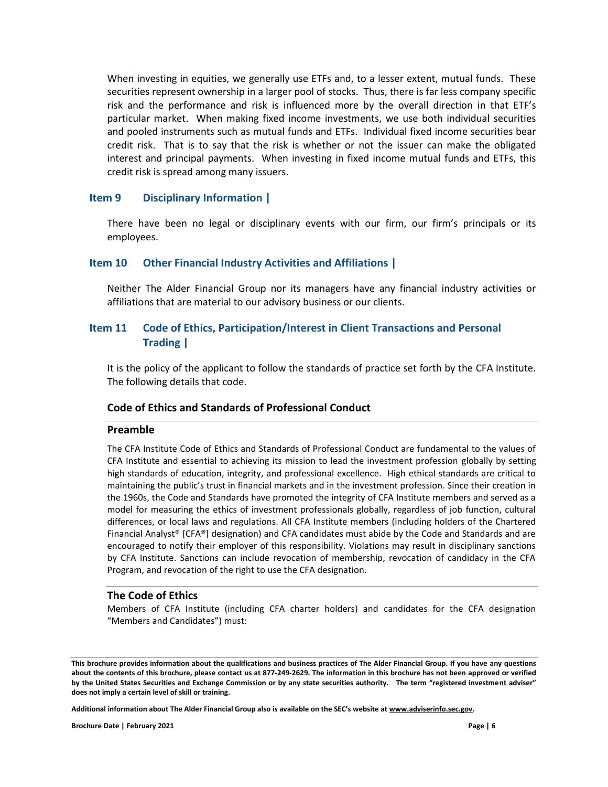When investing in equities, we generally use ETFs and, to a lesser extent, mutual funds. These securities represent ownership in a larger pool of stocks. Thus, there is far less company specific risk and the performance and risk is influenced more by the overall direction in that ETF's particular market. When making fixed income investments, we use both individual securities and pooled instruments such as mutual funds and ETFs. Individual fixed income securities bear credit risk. That is to say that the risk is whether or not the issuer can make the obligated interest and principal payments. When investing in fixed income mutual funds and ETFs, this credit risk is spread among many issuers.

## **Item 9 Disciplinary Information |**

There have been no legal or disciplinary events with our firm, our firm's principals or its employees.

#### **Item 10 Other Financial Industry Activities and Affiliations |**

Neither The Alder Financial Group nor its managers have any financial industry activities or affiliations that are material to our advisory business or our clients.

## **Item 11 Code of Ethics, Participation/Interest in Client Transactions and Personal Trading |**

It is the policy of the applicant to follow the standards of practice set forth by the CFA Institute. The following details that code.

## **Code of Ethics and Standards of Professional Conduct**

#### **Preamble**

The CFA Institute Code of Ethics and Standards of Professional Conduct are fundamental to the values of CFA Institute and essential to achieving its mission to lead the investment profession globally by setting high standards of education, integrity, and professional excellence. High ethical standards are critical to maintaining the public's trust in financial markets and in the investment profession. Since their creation in the 1960s, the Code and Standards have promoted the integrity of CFA Institute members and served as a model for measuring the ethics of investment professionals globally, regardless of job function, cultural differences, or local laws and regulations. All CFA Institute members (including holders of the Chartered Financial Analyst® [CFA®] designation) and CFA candidates must abide by the Code and Standards and are encouraged to notify their employer of this responsibility. Violations may result in disciplinary sanctions by CFA Institute. Sanctions can include revocation of membership, revocation of candidacy in the CFA Program, and revocation of the right to use the CFA designation.

#### **The Code of Ethics**

Members of CFA Institute (including CFA charter holders) and candidates for the CFA designation "Members and Candidates") must:

**This brochure provides information about the qualifications and business practices of The Alder Financial Group. If you have any questions about the contents of this brochure, please contact us at 877-249-2629. The information in this brochure has not been approved or verified by the United States Securities and Exchange Commission or by any state securities authority. The term "registered investment adviser" does not imply a certain level of skill or training.**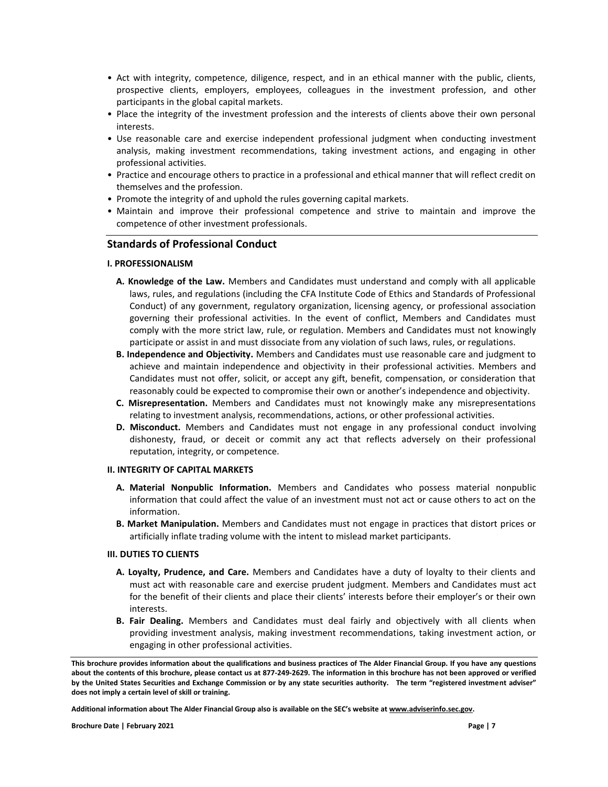- Act with integrity, competence, diligence, respect, and in an ethical manner with the public, clients, prospective clients, employers, employees, colleagues in the investment profession, and other participants in the global capital markets.
- Place the integrity of the investment profession and the interests of clients above their own personal interests.
- Use reasonable care and exercise independent professional judgment when conducting investment analysis, making investment recommendations, taking investment actions, and engaging in other professional activities.
- Practice and encourage others to practice in a professional and ethical manner that will reflect credit on themselves and the profession.
- Promote the integrity of and uphold the rules governing capital markets.
- Maintain and improve their professional competence and strive to maintain and improve the competence of other investment professionals.

#### **Standards of Professional Conduct**

#### **I. PROFESSIONALISM**

- **A. Knowledge of the Law.** Members and Candidates must understand and comply with all applicable laws, rules, and regulations (including the CFA Institute Code of Ethics and Standards of Professional Conduct) of any government, regulatory organization, licensing agency, or professional association governing their professional activities. In the event of conflict, Members and Candidates must comply with the more strict law, rule, or regulation. Members and Candidates must not knowingly participate or assist in and must dissociate from any violation of such laws, rules, or regulations.
- **B. Independence and Objectivity.** Members and Candidates must use reasonable care and judgment to achieve and maintain independence and objectivity in their professional activities. Members and Candidates must not offer, solicit, or accept any gift, benefit, compensation, or consideration that reasonably could be expected to compromise their own or another's independence and objectivity.
- **C. Misrepresentation.** Members and Candidates must not knowingly make any misrepresentations relating to investment analysis, recommendations, actions, or other professional activities.
- **D. Misconduct.** Members and Candidates must not engage in any professional conduct involving dishonesty, fraud, or deceit or commit any act that reflects adversely on their professional reputation, integrity, or competence.

#### **II. INTEGRITY OF CAPITAL MARKETS**

- **A. Material Nonpublic Information.** Members and Candidates who possess material nonpublic information that could affect the value of an investment must not act or cause others to act on the information.
- **B. Market Manipulation.** Members and Candidates must not engage in practices that distort prices or artificially inflate trading volume with the intent to mislead market participants.

#### **III. DUTIES TO CLIENTS**

- **A. Loyalty, Prudence, and Care.** Members and Candidates have a duty of loyalty to their clients and must act with reasonable care and exercise prudent judgment. Members and Candidates must act for the benefit of their clients and place their clients' interests before their employer's or their own interests.
- **B. Fair Dealing.** Members and Candidates must deal fairly and objectively with all clients when providing investment analysis, making investment recommendations, taking investment action, or engaging in other professional activities.

**This brochure provides information about the qualifications and business practices of The Alder Financial Group. If you have any questions about the contents of this brochure, please contact us at 877-249-2629. The information in this brochure has not been approved or verified by the United States Securities and Exchange Commission or by any state securities authority. The term "registered investment adviser" does not imply a certain level of skill or training.**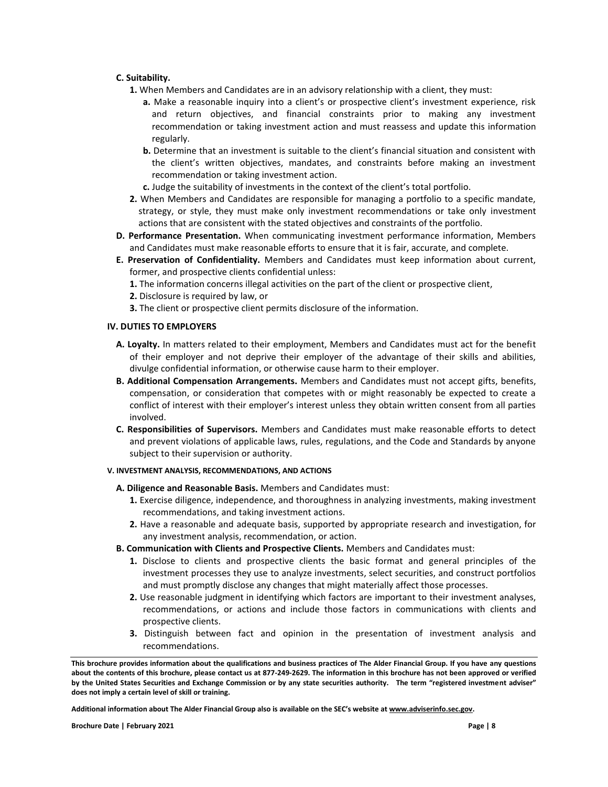#### **C. Suitability.**

- **1.** When Members and Candidates are in an advisory relationship with a client, they must:
	- **a.** Make a reasonable inquiry into a client's or prospective client's investment experience, risk and return objectives, and financial constraints prior to making any investment recommendation or taking investment action and must reassess and update this information regularly.
	- **b.** Determine that an investment is suitable to the client's financial situation and consistent with the client's written objectives, mandates, and constraints before making an investment recommendation or taking investment action.
	- **c.** Judge the suitability of investments in the context of the client's total portfolio.
- **2.** When Members and Candidates are responsible for managing a portfolio to a specific mandate, strategy, or style, they must make only investment recommendations or take only investment actions that are consistent with the stated objectives and constraints of the portfolio.
- **D. Performance Presentation.** When communicating investment performance information, Members and Candidates must make reasonable efforts to ensure that it is fair, accurate, and complete.
- **E. Preservation of Confidentiality.** Members and Candidates must keep information about current, former, and prospective clients confidential unless:
	- **1.** The information concerns illegal activities on the part of the client or prospective client,
	- **2.** Disclosure is required by law, or
	- **3.** The client or prospective client permits disclosure of the information.

#### **IV. DUTIES TO EMPLOYERS**

- **A. Loyalty.** In matters related to their employment, Members and Candidates must act for the benefit of their employer and not deprive their employer of the advantage of their skills and abilities, divulge confidential information, or otherwise cause harm to their employer.
- **B. Additional Compensation Arrangements.** Members and Candidates must not accept gifts, benefits, compensation, or consideration that competes with or might reasonably be expected to create a conflict of interest with their employer's interest unless they obtain written consent from all parties involved.
- **C. Responsibilities of Supervisors.** Members and Candidates must make reasonable efforts to detect and prevent violations of applicable laws, rules, regulations, and the Code and Standards by anyone subject to their supervision or authority.

#### **V. INVESTMENT ANALYSIS, RECOMMENDATIONS, AND ACTIONS**

- **A. Diligence and Reasonable Basis.** Members and Candidates must:
	- **1.** Exercise diligence, independence, and thoroughness in analyzing investments, making investment recommendations, and taking investment actions.
	- **2.** Have a reasonable and adequate basis, supported by appropriate research and investigation, for any investment analysis, recommendation, or action.
- **B. Communication with Clients and Prospective Clients.** Members and Candidates must:
	- **1.** Disclose to clients and prospective clients the basic format and general principles of the investment processes they use to analyze investments, select securities, and construct portfolios and must promptly disclose any changes that might materially affect those processes.
	- **2.** Use reasonable judgment in identifying which factors are important to their investment analyses, recommendations, or actions and include those factors in communications with clients and prospective clients.
	- **3.** Distinguish between fact and opinion in the presentation of investment analysis and recommendations.

**This brochure provides information about the qualifications and business practices of The Alder Financial Group. If you have any questions about the contents of this brochure, please contact us at 877-249-2629. The information in this brochure has not been approved or verified by the United States Securities and Exchange Commission or by any state securities authority. The term "registered investment adviser" does not imply a certain level of skill or training.**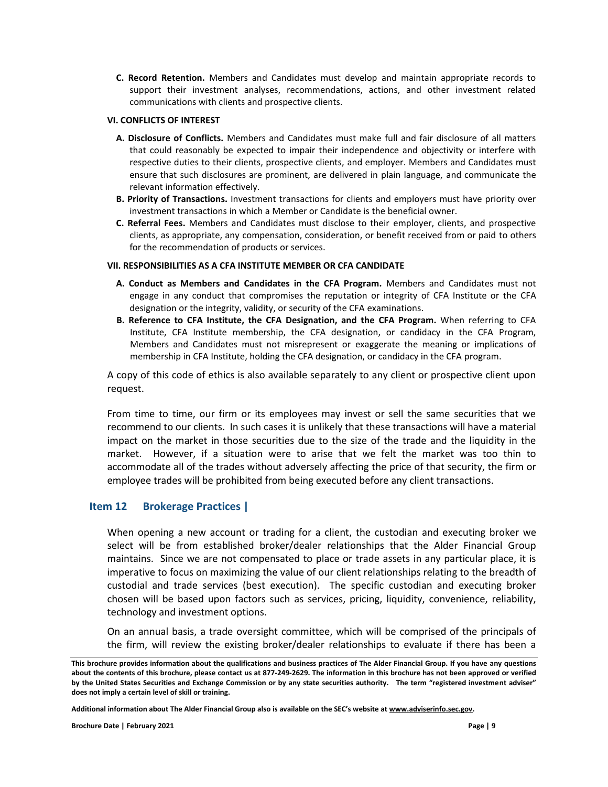**C. Record Retention.** Members and Candidates must develop and maintain appropriate records to support their investment analyses, recommendations, actions, and other investment related communications with clients and prospective clients.

#### **VI. CONFLICTS OF INTEREST**

- **A. Disclosure of Conflicts.** Members and Candidates must make full and fair disclosure of all matters that could reasonably be expected to impair their independence and objectivity or interfere with respective duties to their clients, prospective clients, and employer. Members and Candidates must ensure that such disclosures are prominent, are delivered in plain language, and communicate the relevant information effectively.
- **B. Priority of Transactions.** Investment transactions for clients and employers must have priority over investment transactions in which a Member or Candidate is the beneficial owner.
- **C. Referral Fees.** Members and Candidates must disclose to their employer, clients, and prospective clients, as appropriate, any compensation, consideration, or benefit received from or paid to others for the recommendation of products or services.

#### **VII. RESPONSIBILITIES AS A CFA INSTITUTE MEMBER OR CFA CANDIDATE**

- **A. Conduct as Members and Candidates in the CFA Program.** Members and Candidates must not engage in any conduct that compromises the reputation or integrity of CFA Institute or the CFA designation or the integrity, validity, or security of the CFA examinations.
- **B. Reference to CFA Institute, the CFA Designation, and the CFA Program.** When referring to CFA Institute, CFA Institute membership, the CFA designation, or candidacy in the CFA Program, Members and Candidates must not misrepresent or exaggerate the meaning or implications of membership in CFA Institute, holding the CFA designation, or candidacy in the CFA program.

A copy of this code of ethics is also available separately to any client or prospective client upon request.

From time to time, our firm or its employees may invest or sell the same securities that we recommend to our clients. In such cases it is unlikely that these transactions will have a material impact on the market in those securities due to the size of the trade and the liquidity in the market. However, if a situation were to arise that we felt the market was too thin to accommodate all of the trades without adversely affecting the price of that security, the firm or employee trades will be prohibited from being executed before any client transactions.

## **Item 12 Brokerage Practices |**

When opening a new account or trading for a client, the custodian and executing broker we select will be from established broker/dealer relationships that the Alder Financial Group maintains. Since we are not compensated to place or trade assets in any particular place, it is imperative to focus on maximizing the value of our client relationships relating to the breadth of custodial and trade services (best execution). The specific custodian and executing broker chosen will be based upon factors such as services, pricing, liquidity, convenience, reliability, technology and investment options.

On an annual basis, a trade oversight committee, which will be comprised of the principals of the firm, will review the existing broker/dealer relationships to evaluate if there has been a

**This brochure provides information about the qualifications and business practices of The Alder Financial Group. If you have any questions about the contents of this brochure, please contact us at 877-249-2629. The information in this brochure has not been approved or verified by the United States Securities and Exchange Commission or by any state securities authority. The term "registered investment adviser" does not imply a certain level of skill or training.**

**Additional information about The Alder Financial Group also is available on the SEC's website at www.adviserinfo.sec.gov.**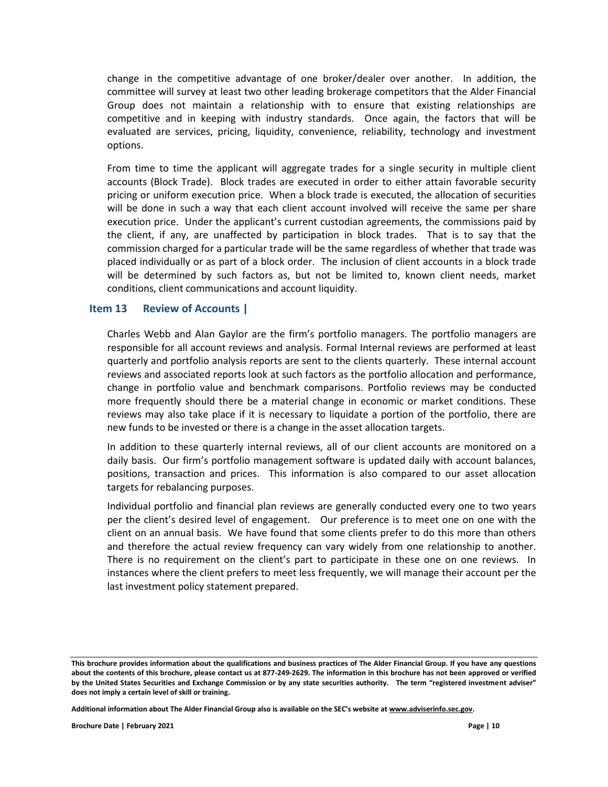change in the competitive advantage of one broker/dealer over another. In addition, the committee will survey at least two other leading brokerage competitors that the Alder Financial Group does not maintain a relationship with to ensure that existing relationships are competitive and in keeping with industry standards. Once again, the factors that will be evaluated are services, pricing, liquidity, convenience, reliability, technology and investment options.

From time to time the applicant will aggregate trades for a single security in multiple client accounts (Block Trade). Block trades are executed in order to either attain favorable security pricing or uniform execution price. When a block trade is executed, the allocation of securities will be done in such a way that each client account involved will receive the same per share execution price. Under the applicant's current custodian agreements, the commissions paid by the client, if any, are unaffected by participation in block trades. That is to say that the commission charged for a particular trade will be the same regardless of whether that trade was placed individually or as part of a block order. The inclusion of client accounts in a block trade will be determined by such factors as, but not be limited to, known client needs, market conditions, client communications and account liquidity.

## **Item 13 Review of Accounts |**

Charles Webb and Alan Gaylor are the firm's portfolio managers. The portfolio managers are responsible for all account reviews and analysis. Formal Internal reviews are performed at least quarterly and portfolio analysis reports are sent to the clients quarterly. These internal account reviews and associated reports look at such factors as the portfolio allocation and performance, change in portfolio value and benchmark comparisons. Portfolio reviews may be conducted more frequently should there be a material change in economic or market conditions. These reviews may also take place if it is necessary to liquidate a portion of the portfolio, there are new funds to be invested or there is a change in the asset allocation targets.

In addition to these quarterly internal reviews, all of our client accounts are monitored on a daily basis. Our firm's portfolio management software is updated daily with account balances, positions, transaction and prices. This information is also compared to our asset allocation targets for rebalancing purposes.

Individual portfolio and financial plan reviews are generally conducted every one to two years per the client's desired level of engagement. Our preference is to meet one on one with the client on an annual basis. We have found that some clients prefer to do this more than others and therefore the actual review frequency can vary widely from one relationship to another. There is no requirement on the client's part to participate in these one on one reviews. In instances where the client prefers to meet less frequently, we will manage their account per the last investment policy statement prepared.

**This brochure provides information about the qualifications and business practices of The Alder Financial Group. If you have any questions about the contents of this brochure, please contact us at 877-249-2629. The information in this brochure has not been approved or verified by the United States Securities and Exchange Commission or by any state securities authority. The term "registered investment adviser" does not imply a certain level of skill or training.**

**Additional information about The Alder Financial Group also is available on the SEC's website at www.adviserinfo.sec.gov.**